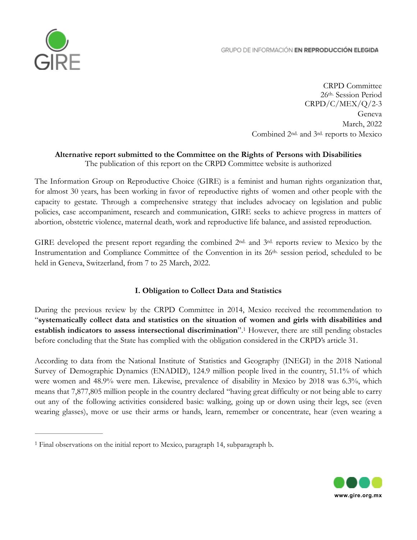#### GRUPO DE INFORMACIÓN EN REPRODUCCIÓN ELEGIDA



CRPD Committee 26th. Session Period CRPD/C/MEX/Q/2-3 Geneva March, 2022 Combined 2nd. and 3rd. reports to Mexico

# **Alternative report submitted to the Committee on the Rights of Persons with Disabilities**

The publication of this report on the CRPD Committee website is authorized

The Information Group on Reproductive Choice (GIRE) is a feminist and human rights organization that, for almost 30 years, has been working in favor of reproductive rights of women and other people with the capacity to gestate. Through a comprehensive strategy that includes advocacy on legislation and public policies, case accompaniment, research and communication, GIRE seeks to achieve progress in matters of abortion, obstetric violence, maternal death, work and reproductive life balance, and assisted reproduction.

GIRE developed the present report regarding the combined  $2<sup>nd</sup>$  and  $3<sup>rd</sup>$  reports review to Mexico by the Instrumentation and Compliance Committee of the Convention in its 26th. session period, scheduled to be held in Geneva, Switzerland, from 7 to 25 March, 2022.

#### <span id="page-0-1"></span>**I. Obligation to Collect Data and Statistics**

During the previous review by the CRPD Committee in 2014, Mexico received the recommendation to "**systematically collect data and statistics on the situation of women and girls with disabilities and establish indicators to assess intersectional discrimination**".<sup>[1](#page-0-0)</sup> However, there are still pending obstacles before concluding that the State has complied with the obligation considered in the CRPD's article 31.

According to data from the National Institute of Statistics and Geography (INEGI) in the 2018 National Survey of Demographic Dynamics (ENADID), 124.9 million people lived in the country, 51.1% of which were women and 48.9% were men. Likewise, prevalence of disability in Mexico by 2018 was 6.3%, which means that 7,877,805 million people in the country declared "having great difficulty or not being able to carry out any of the following activities considered basic: walking, going up or down using their legs, see (even wearing glasses), move or use their arms or hands, learn, remember or concentrate, hear (even wearing a



<span id="page-0-0"></span><sup>&</sup>lt;sup>[1](#page-0-1)</sup> Final observations on the initial report to Mexico, paragraph 14, subparagraph b.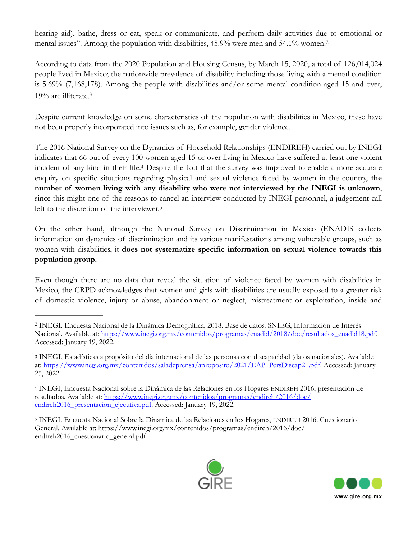<span id="page-1-4"></span>hearing aid), bathe, dress or eat, speak or communicate, and perform daily activities due to emotional or mental issues". Among the population with disabilities, 45.9% were men and 54.1% women.[2](#page-1-0)

According to data from the 2020 Population and Housing Census, by March 15, 2020, a total of 126,014,024 people lived in Mexico; the nationwide prevalence of disability including those living with a mental condition is 5.69% (7,168,178). Among the people with disabilities and/or some mental condition aged 15 and over, 19% are illiterate.[3](#page-1-1)

<span id="page-1-5"></span>Despite current knowledge on some characteristics of the population with disabilities in Mexico, these have not been properly incorporated into issues such as, for example, gender violence.

<span id="page-1-6"></span>The 2016 National Survey on the Dynamics of Household Relationships (ENDIREH) carried out by INEGI indicates that 66 out of every 100 women aged 15 or over living in Mexico have suffered at least one violent incidentof any kind in their life.<sup>[4](#page-1-2)</sup> Despite the fact that the survey was improved to enable a more accurate enquiry on specific situations regarding physical and sexual violence faced by women in the country, **the number of women living with any disability who were not interviewed by the INEGI is unknown**, since this might one of the reasons to cancel an interview conducted by INEGI personnel, a judgement call left to the discretion of the interviewer.<sup>5</sup>

<span id="page-1-7"></span>On the other hand, although the National Survey on Discrimination in Mexico (ENADIS collects information on dynamics of discrimination and its various manifestations among vulnerable groups, such as women with disabilities, it **does not systematize specific information on sexual violence towards this population group.**

Even though there are no data that reveal the situation of violence faced by women with disabilities in Mexico, the CRPD acknowledges that women and girls with disabilities are usually exposed to a greater risk of domestic violence, injury or abuse, abandonment or neglect, mistreatment or exploitation, inside and

<span id="page-1-3"></span><sup>&</sup>lt;sup>[5](#page-1-7)</sup> INEGI. Encuesta Nacional Sobre la Dinámica de las Relaciones en los Hogares, ENDIREH 2016. Cuestionario General. Available at: https://www.inegi.org.mx/contenidos/programas/endireh/2016/doc/ endireh2016\_cuestionario\_general.pdf





<span id="page-1-0"></span>INEGI. Encuesta Nacional de la Dinámica Demográfica, 2018. Base de datos. SNIEG, Información de Interés [2](#page-1-4) Nacional. Available at: [https://www.inegi.org.mx/contenidos/programas/enadid/2018/doc/resultados\\_enadid18.pdf](https://www.inegi.org.mx/contenidos/programas/enadid/2018/doc/resultados_enadid18.pdf). Accessed: January 19, 2022.

<span id="page-1-1"></span>INEGI, Estadísticas a propósito del día internacional de las personas con discapacidad (datos nacionales). Available [3](#page-1-5) at: [https://www.inegi.org.mx/contenidos/saladeprensa/aproposito/2021/EAP\\_PersDiscap21.pdf](https://www.inegi.org.mx/contenidos/saladeprensa/aproposito/2021/EAP_PersDiscap21.pdf). Accessed: January 25, 2022.

<span id="page-1-2"></span>INEGI, Encuesta Nacional sobre la Dinámica de las Relaciones en los Hogares ENDIREH 2016, presentación de [4](#page-1-6) resultados. Available at: [https://www.inegi.org.mx/contenidos/programas/endireh/2016/doc/](https://www.inegi.org.mx/contenidos/programas/endireh/2016/doc/endireh2016_presentacion_ejecutiva.pdf) endireh2016\_presentacion\_ejecutiva.pdf. Accessed: January 19, 2022.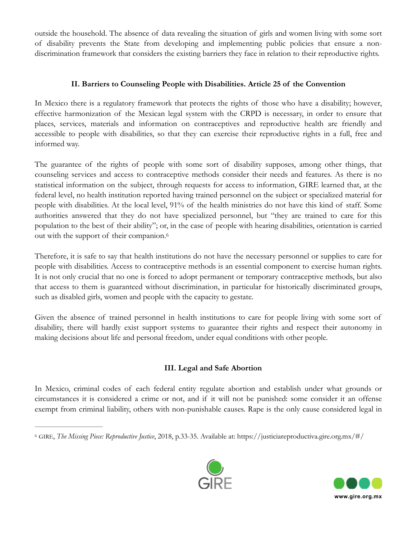outside the household. The absence of data revealing the situation of girls and women living with some sort of disability prevents the State from developing and implementing public policies that ensure a nondiscrimination framework that considers the existing barriers they face in relation to their reproductive rights.

## **II. Barriers to Counseling People with Disabilities. Article 25 of the Convention**

In Mexico there is a regulatory framework that protects the rights of those who have a disability; however, effective harmonization of the Mexican legal system with the CRPD is necessary, in order to ensure that places, services, materials and information on contraceptives and reproductive health are friendly and accessible to people with disabilities, so that they can exercise their reproductive rights in a full, free and informed way.

The guarantee of the rights of people with some sort of disability supposes, among other things, that counseling services and access to contraceptive methods consider their needs and features. As there is no statistical information on the subject, through requests for access to information, GIRE learned that, at the federal level, no health institution reported having trained personnel on the subject or specialized material for people with disabilities. At the local level, 91% of the health ministries do not have this kind of staff. Some authorities answered that they do not have specialized personnel, but "they are trained to care for this population to the best of their ability"; or, in the case of people with hearing disabilities, orientation is carried out with the support of their companion.[6](#page-2-0)

Therefore, it is safe to say that health institutions do not have the necessary personnel or supplies to care for people with disabilities. Access to contraceptive methods is an essential component to exercise human rights. It is not only crucial that no one is forced to adopt permanent or temporary contraceptive methods, but also that access to them is guaranteed without discrimination, in particular for historically discriminated groups, such as disabled girls, women and people with the capacity to gestate.

Given the absence of trained personnel in health institutions to care for people living with some sort of disability, there will hardly exist support systems to guarantee their rights and respect their autonomy in making decisions about life and personal freedom, under equal conditions with other people.

# <span id="page-2-1"></span>**III. Legal and Safe Abortion**

In Mexico, criminal codes of each federal entity regulate abortion and establish under what grounds or circumstances it is considered a crime or not, and if it will not be punished: some consider it an offense exempt from criminal liability, others with non-punishable causes. Rape is the only cause considered legal in

<span id="page-2-0"></span>[<sup>6</sup>](#page-2-1) GIRE, *The Missing Piece: Reproductive Justice*, 2018, p.33-35. Available at: https://justiciareproductiva.gire.org.mx/#/



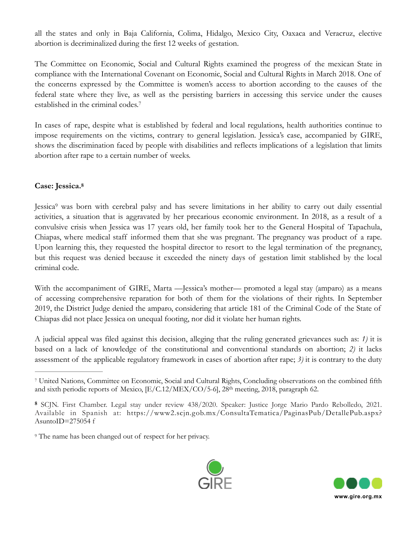all the states and only in Baja California, Colima, Hidalgo, Mexico City, Oaxaca and Veracruz, elective abortion is decriminalized during the first 12 weeks of gestation.

The Committee on Economic, Social and Cultural Rights examined the progress of the mexican State in compliance with the International Covenant on Economic, Social and Cultural Rights in March 2018. One of the concerns expressed by the Committee is women's access to abortion according to the causes of the federal state where they live, as well as the persisting barriers in accessing this service under the causes established in the criminal codes.[7](#page-3-0)

<span id="page-3-3"></span>In cases of rape, despite what is established by federal and local regulations, health authorities continue to impose requirements on the victims, contrary to general legislation. Jessica's case, accompanied by GIRE, shows the discrimination faced by people with disabilities and reflects implications of a legislation that limits abortion after rape to a certain number of weeks.

## <span id="page-3-4"></span>**Case: Jessica[.8](#page-3-1)**

<span id="page-3-5"></span>Jessica<sup>[9](#page-3-2)</sup> was born with cerebral palsy and has severe limitations in her ability to carry out daily essential activities, a situation that is aggravated by her precarious economic environment. In 2018, as a result of a convulsive crisis when Jessica was 17 years old, her family took her to the General Hospital of Tapachula, Chiapas, where medical staff informed them that she was pregnant. The pregnancy was product of a rape. Upon learning this, they requested the hospital director to resort to the legal termination of the pregnancy, but this request was denied because it exceeded the ninety days of gestation limit stablished by the local criminal code.

With the accompaniment of GIRE, Marta —Jessica's mother— promoted a legal stay (amparo) as a means of accessing comprehensive reparation for both of them for the violations of their rights. In September 2019, the District Judge denied the amparo, considering that article 181 of the Criminal Code of the State of Chiapas did not place Jessica on unequal footing, nor did it violate her human rights.

A judicial appeal was filed against this decision, alleging that the ruling generated grievances such as: *1)* it is based on a lack of knowledge of the constitutional and conventional standards on abortion; *2)* it lacks assessment of the applicable regulatory framework in cases of abortion after rape; *3)* it is contrary to the duty

<span id="page-3-2"></span><sup>&</sup>lt;sup>[9](#page-3-5)</sup> The name has been changed out of respect for her privacy.





<span id="page-3-0"></span>United Nations, Committee on Economic, Social and Cultural Rights, Concluding observations on the combined fifth [7](#page-3-3) and sixth periodic reports of Mexico,  $[E/C.12/MEX/CO/5-6]$ , 28<sup>th</sup> meeting, 2018, paragraph 62.

<span id="page-3-1"></span>SCJN. First Chamber. Legal stay under review 438/2020. Speaker: Justice Jorge Mario Pardo Rebolledo, 2021. **[8](#page-3-4)** Available in Spanish at: https://www2.scjn.gob.mx/ConsultaTematica/PaginasPub/DetallePub.aspx? AsuntoID=275054 f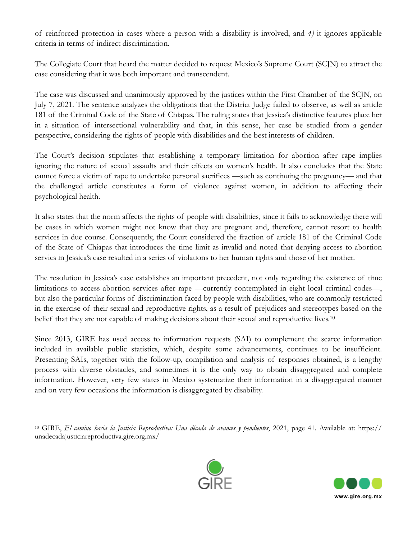of reinforced protection in cases where a person with a disability is involved, and *4)* it ignores applicable criteria in terms of indirect discrimination.

The Collegiate Court that heard the matter decided to request Mexico's Supreme Court (SCJN) to attract the case considering that it was both important and transcendent.

The case was discussed and unanimously approved by the justices within the First Chamber of the SCJN, on July 7, 2021. The sentence analyzes the obligations that the District Judge failed to observe, as well as article 181 of the Criminal Code of the State of Chiapas. The ruling states that Jessica's distinctive features place her in a situation of intersectional vulnerability and that, in this sense, her case be studied from a gender perspective, considering the rights of people with disabilities and the best interests of children.

The Court's decision stipulates that establishing a temporary limitation for abortion after rape implies ignoring the nature of sexual assaults and their effects on women's health. It also concludes that the State cannot force a victim of rape to undertake personal sacrifices —such as continuing the pregnancy— and that the challenged article constitutes a form of violence against women, in addition to affecting their psychological health.

It also states that the norm affects the rights of people with disabilities, since it fails to acknowledge there will be cases in which women might not know that they are pregnant and, therefore, cannot resort to health services in due course. Consequently, the Court considered the fraction of article 181 of the Criminal Code of the State of Chiapas that introduces the time limit as invalid and noted that denying access to abortion servics in Jessica's case resulted in a series of violations to her human rights and those of her mother.

The resolution in Jessica's case establishes an important precedent, not only regarding the existence of time limitations to access abortion services after rape —currently contemplated in eight local criminal codes—, but also the particular forms of discrimination faced by people with disabilities, who are commonly restricted in the exercise of their sexual and reproductive rights, as a result of prejudices and stereotypes based on the belief that they are not capable of making decisions about their sexual and reproductive lives.<sup>10</sup>

Since 2013, GIRE has used access to information requests (SAI) to complement the scarce information included in available public statistics, which, despite some advancements, continues to be insufficient. Presenting SAIs, together with the follow-up, compilation and analysis of responses obtained, is a lengthy process with diverse obstacles, and sometimes it is the only way to obtain disaggregated and complete information. However, very few states in Mexico systematize their information in a disaggregated manner and on very few occasions the information is disaggregated by disability.

<span id="page-4-0"></span>[<sup>10</sup>](#page-4-1) GIRE, *El camino hacia la Justicia Reproductiva: Una década de avances y pendientes*, 2021, page 41. Available at: https:// unadecadajusticiareproductiva.gire.org.mx/



<span id="page-4-1"></span>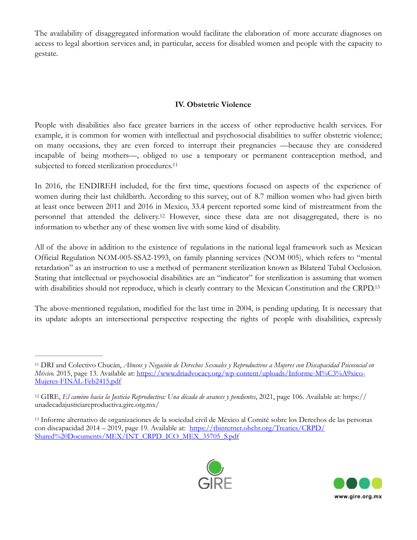The availability of disaggregated information would facilitate the elaboration of more accurate diagnoses on access to legal abortion services and, in particular, access for disabled women and people with the capacity to gestate.

## <span id="page-5-4"></span><span id="page-5-3"></span>**IV. Obstetric Violence**

People with disabilities also face greater barriers in the access of other reproductive health services. For example, it is common for women with intellectual and psychosocial disabilities to suffer obstetric violence; on many occasions, they are even forced to interrupt their pregnancies —because they are considered incapable of being mothers—, obliged to use a temporary or permanent contraception method, and subjected to forced sterilization procedures.<sup>[11](#page-5-0)</sup>

In 2016, the ENDIREH included, for the first time, questions focused on aspects of the experience of women during their last childbirth. According to this survey, out of 8.7 million women who had given birth at least once between 2011 and 2016 in Mexico, 33.4 percent reported some kind of mistreatment from the personnel that attended the delivery.<sup>[12](#page-5-1)</sup> However, since these data are not disaggregated, there is no information to whether any of these women live with some kind of disability.

All of the above in addition to the existence of regulations in the national legal framework such as Mexican Official Regulation NOM-005-SSA2-1993, on family planning services (NOM 005), which refers to "mental retardation" as an instruction to use a method of permanent sterilization known as Bilateral Tubal Occlusion. Stating that intellectual or psychosocial disabilities are an "indicator" for sterilization is assuming that women with disabilities should not reproduce, which is clearly contrary to the Mexican Constitution and the CRPD[.13](#page-5-2)

The above-mentioned regulation, modified for the last time in 2004, is pending updating. It is necessary that its update adopts an intersectional perspective respecting the rights of people with disabilities, expressly

<span id="page-5-2"></span>Informe alternativo de organizaciones de la sociedad civil de México al Comité sobre los Derechos de las personas [13](#page-5-5) [con discapacidad 2014 – 2019, page 19. Available at: https://tbinternet.ohchr.org/Treaties/CRPD/](https://tbinternet.ohchr.org/Treaties/CRPD/Shared%2520Documents/MEX/INT_CRPD_ICO_MEX_35705_S.pdf) [Shared%20Documents/MEX/INT\\_CRPD\\_ICO\\_MEX\\_35705\\_S.pdf](https://tbinternet.ohchr.org/Treaties/CRPD/Shared%2520Documents/MEX/INT_CRPD_ICO_MEX_35705_S.pdf)



<span id="page-5-5"></span>

<span id="page-5-0"></span>DRI and Colectivo Chucán, *Abusos y Negación de Derechos Sexuales y Reproductivos a Mujeres con Discapacidad Psicosocial en* [11](#page-5-3) *México.* 2015, page 13. Available at: [https://www.driadvocacy.org/wp-content/uploads/Informe-M%C3%A9xico-](https://www.driadvocacy.org/wp-content/uploads/Informe-M%25C3%25A9xico-Mujeres-FINAL-Feb2415.pdf)[Mujeres-FINAL-Feb2415.pdf](https://www.driadvocacy.org/wp-content/uploads/Informe-M%25C3%25A9xico-Mujeres-FINAL-Feb2415.pdf)

<span id="page-5-1"></span>[<sup>12</sup>](#page-5-4) GIRE, *El camino hacia la Justicia Reproductiva: Una década de avances y pendientes*, 2021, page 106. Available at: https:// unadecadajusticiareproductiva.gire.org.mx/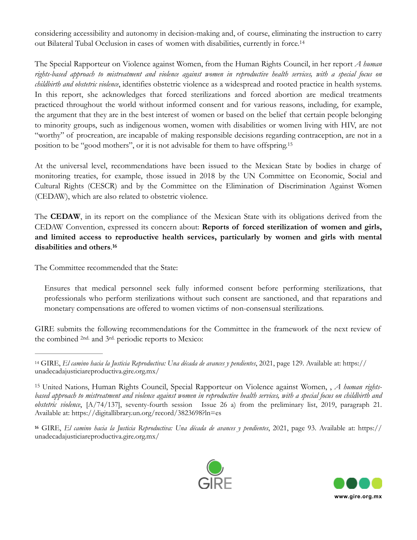<span id="page-6-3"></span>considering accessibility and autonomy in decision-making and, of course, eliminating the instruction to carry out Bilateral Tubal Occlusion in cases of women with disabilities, currently in force.[14](#page-6-0)

The Special Rapporteur on Violence against Women, from the Human Rights Council, in her report *A human rights-based approach to mistreatment and violence against women in reproductive health services, with a special focus on childbirth and obstetric violence*, identifies obstetric violence as a widespread and rooted practice in health systems. In this report, she acknowledges that forced sterilizations and forced abortion are medical treatments practiced throughout the world without informed consent and for various reasons, including, for example, the argument that they are in the best interest of women or based on the belief that certain people belonging to minority groups, such as indigenous women, women with disabilities or women living with HIV, are not "worthy" of procreation, are incapable of making responsible decisions regarding contraception, are not in a position to be "good mothers", or it is not advisable for them to have offspring[.15](#page-6-1)

<span id="page-6-4"></span>At the universal level, recommendations have been issued to the Mexican State by bodies in charge of monitoring treaties, for example, those issued in 2018 by the UN Committee on Economic, Social and Cultural Rights (CESCR) and by the Committee on the Elimination of Discrimination Against Women (CEDAW), which are also related to obstetric violence.

The **CEDAW**, in its report on the compliance of the Mexican State with its obligations derived from the CEDAW Convention, expressed its concern about: **Reports of forced sterilization of women and girls, and limited access to reproductive health services, particularly by women and girls with mental disabilities and others**.**[16](#page-6-2)**

The Committee recommended that the State:

<span id="page-6-5"></span>Ensures that medical personnel seek fully informed consent before performing sterilizations, that professionals who perform sterilizations without such consent are sanctioned, and that reparations and monetary compensations are offered to women victims of non-consensual sterilizations.

GIRE submits the following recommendations for the Committee in the framework of the next review of the combined 2nd. and 3rd. periodic reports to Mexico:

<span id="page-6-2"></span>**[<sup>16</sup>](#page-6-5)** GIRE, *El camino hacia la Justicia Reproductiva: Una década de avances y pendientes*, 2021, page 93. Available at: https:// unadecadajusticiareproductiva.gire.org.mx/





<span id="page-6-0"></span>[<sup>14</sup>](#page-6-3) GIRE, *El camino hacia la Justicia Reproductiva: Una década de avances y pendientes*, 2021, page 129. Available at: https:// unadecadajusticiareproductiva.gire.org.mx/

<span id="page-6-1"></span>United Nations, Human Rights Council, Special Rapporteur on Violence against Women, , *A human rights-* [15](#page-6-4) *based approach to mistreatment and violence against women in reproductive health services, with a special focus on childbirth and obstetric violence*, [A/74/137], seventy-fourth session Issue 26 a) from the preliminary list, 2019, paragraph 21. Available at: https://digitallibrary.un.org/record/3823698?ln=es